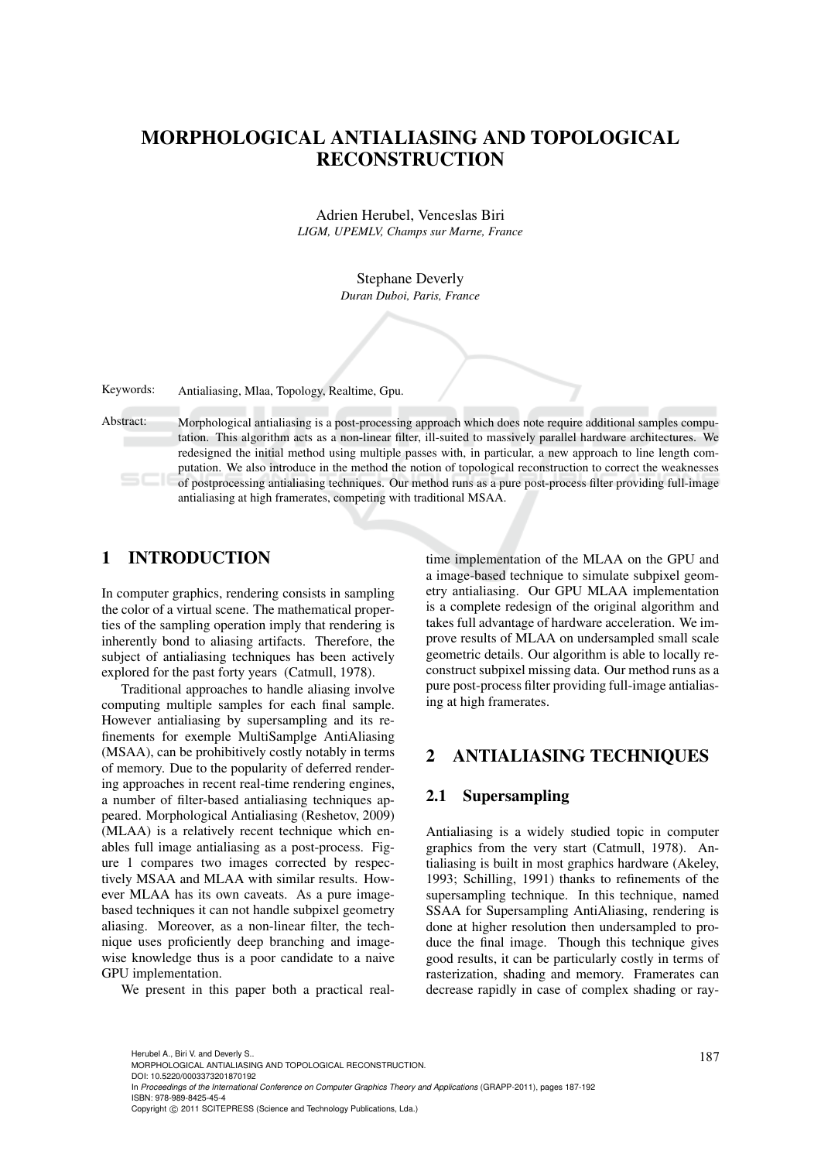# MORPHOLOGICAL ANTIALIASING AND TOPOLOGICAL RECONSTRUCTION

Adrien Herubel, Venceslas Biri *LIGM, UPEMLV, Champs sur Marne, France*

> Stephane Deverly *Duran Duboi, Paris, France*

Keywords: Antialiasing, Mlaa, Topology, Realtime, Gpu.

Abstract: Morphological antialiasing is a post-processing approach which does note require additional samples computation. This algorithm acts as a non-linear filter, ill-suited to massively parallel hardware architectures. We redesigned the initial method using multiple passes with, in particular, a new approach to line length computation. We also introduce in the method the notion of topological reconstruction to correct the weaknesses of postprocessing antialiasing techniques. Our method runs as a pure post-process filter providing full-image antialiasing at high framerates, competing with traditional MSAA.

# 1 INTRODUCTION

In computer graphics, rendering consists in sampling the color of a virtual scene. The mathematical properties of the sampling operation imply that rendering is inherently bond to aliasing artifacts. Therefore, the subject of antialiasing techniques has been actively explored for the past forty years (Catmull, 1978).

Traditional approaches to handle aliasing involve computing multiple samples for each final sample. However antialiasing by supersampling and its refinements for exemple MultiSamplge AntiAliasing (MSAA), can be prohibitively costly notably in terms of memory. Due to the popularity of deferred rendering approaches in recent real-time rendering engines, a number of filter-based antialiasing techniques appeared. Morphological Antialiasing (Reshetov, 2009) (MLAA) is a relatively recent technique which enables full image antialiasing as a post-process. Figure 1 compares two images corrected by respectively MSAA and MLAA with similar results. However MLAA has its own caveats. As a pure imagebased techniques it can not handle subpixel geometry aliasing. Moreover, as a non-linear filter, the technique uses proficiently deep branching and imagewise knowledge thus is a poor candidate to a naive GPU implementation.

We present in this paper both a practical real-

time implementation of the MLAA on the GPU and a image-based technique to simulate subpixel geometry antialiasing. Our GPU MLAA implementation is a complete redesign of the original algorithm and takes full advantage of hardware acceleration. We improve results of MLAA on undersampled small scale geometric details. Our algorithm is able to locally reconstruct subpixel missing data. Our method runs as a pure post-process filter providing full-image antialiasing at high framerates.

### 2 ANTIALIASING TECHNIQUES

#### 2.1 Supersampling

Antialiasing is a widely studied topic in computer graphics from the very start (Catmull, 1978). Antialiasing is built in most graphics hardware (Akeley, 1993; Schilling, 1991) thanks to refinements of the supersampling technique. In this technique, named SSAA for Supersampling AntiAliasing, rendering is done at higher resolution then undersampled to produce the final image. Though this technique gives good results, it can be particularly costly in terms of rasterization, shading and memory. Framerates can decrease rapidly in case of complex shading or ray-

DOI: 10.5220/0003373201870192 In *Proceedings of the International Conference on Computer Graphics Theory and Applications* (GRAPP-2011), pages 187-192 ISBN: 978-989-8425-45-4

<sup>187</sup> Herubel A., Biri V. and Deverly S.. MORPHOLOGICAL ANTIALIASING AND TOPOLOGICAL RECONSTRUCTION.

Copyright © 2011 SCITEPRESS (Science and Technology Publications, Lda.)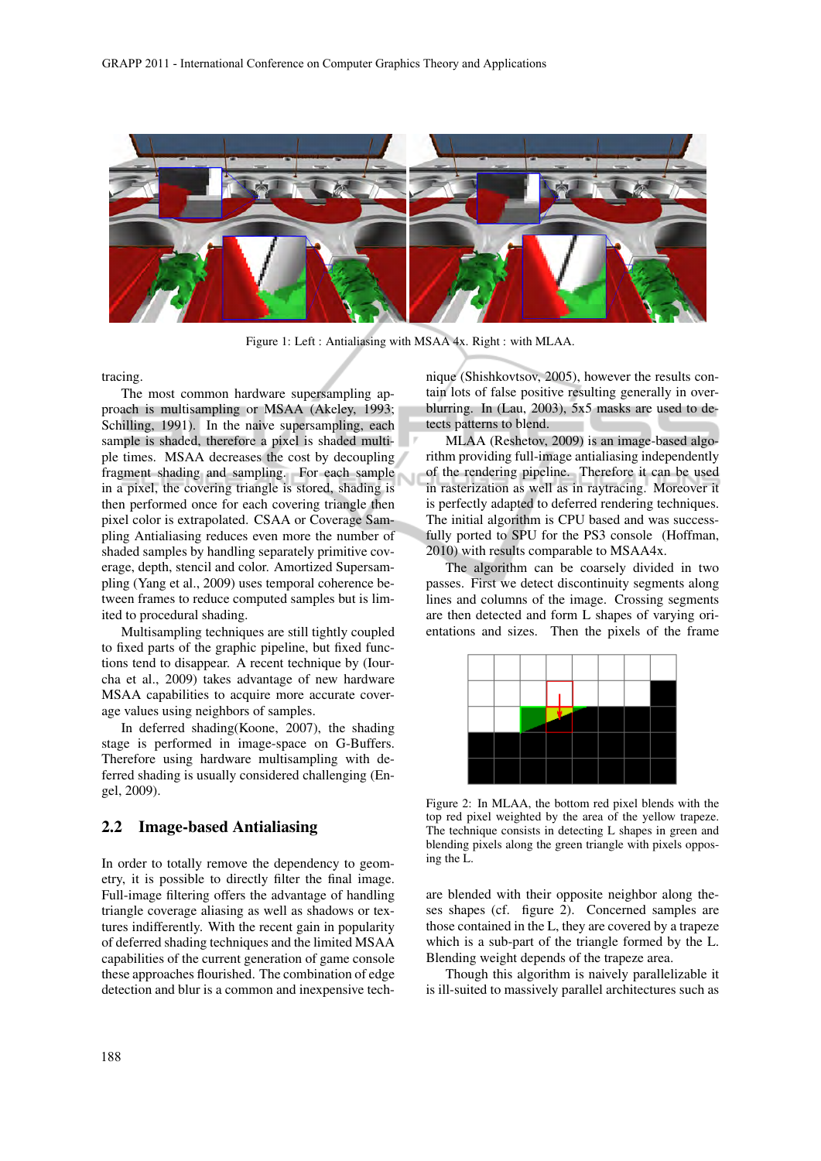

Figure 1: Left : Antialiasing with MSAA 4x. Right : with MLAA.

tracing.

The most common hardware supersampling approach is multisampling or MSAA (Akeley, 1993; Schilling, 1991). In the naive supersampling, each sample is shaded, therefore a pixel is shaded multiple times. MSAA decreases the cost by decoupling fragment shading and sampling. For each sample in a pixel, the covering triangle is stored, shading is then performed once for each covering triangle then pixel color is extrapolated. CSAA or Coverage Sampling Antialiasing reduces even more the number of shaded samples by handling separately primitive coverage, depth, stencil and color. Amortized Supersampling (Yang et al., 2009) uses temporal coherence between frames to reduce computed samples but is limited to procedural shading.

Multisampling techniques are still tightly coupled to fixed parts of the graphic pipeline, but fixed functions tend to disappear. A recent technique by (Iourcha et al., 2009) takes advantage of new hardware MSAA capabilities to acquire more accurate coverage values using neighbors of samples.

In deferred shading(Koone, 2007), the shading stage is performed in image-space on G-Buffers. Therefore using hardware multisampling with deferred shading is usually considered challenging (Engel, 2009).

### 2.2 Image-based Antialiasing

In order to totally remove the dependency to geometry, it is possible to directly filter the final image. Full-image filtering offers the advantage of handling triangle coverage aliasing as well as shadows or textures indifferently. With the recent gain in popularity of deferred shading techniques and the limited MSAA capabilities of the current generation of game console these approaches flourished. The combination of edge detection and blur is a common and inexpensive technique (Shishkovtsov, 2005), however the results contain lots of false positive resulting generally in overblurring. In (Lau, 2003), 5x5 masks are used to detects patterns to blend.

MLAA (Reshetov, 2009) is an image-based algorithm providing full-image antialiasing independently of the rendering pipeline. Therefore it can be used in rasterization as well as in raytracing. Moreover it is perfectly adapted to deferred rendering techniques. The initial algorithm is CPU based and was successfully ported to SPU for the PS3 console (Hoffman, 2010) with results comparable to MSAA4x.

The algorithm can be coarsely divided in two passes. First we detect discontinuity segments along lines and columns of the image. Crossing segments are then detected and form L shapes of varying orientations and sizes. Then the pixels of the frame



Figure 2: In MLAA, the bottom red pixel blends with the top red pixel weighted by the area of the yellow trapeze. The technique consists in detecting L shapes in green and blending pixels along the green triangle with pixels opposing the L.

are blended with their opposite neighbor along theses shapes (cf. figure 2). Concerned samples are those contained in the L, they are covered by a trapeze which is a sub-part of the triangle formed by the L. Blending weight depends of the trapeze area.

Though this algorithm is naively parallelizable it is ill-suited to massively parallel architectures such as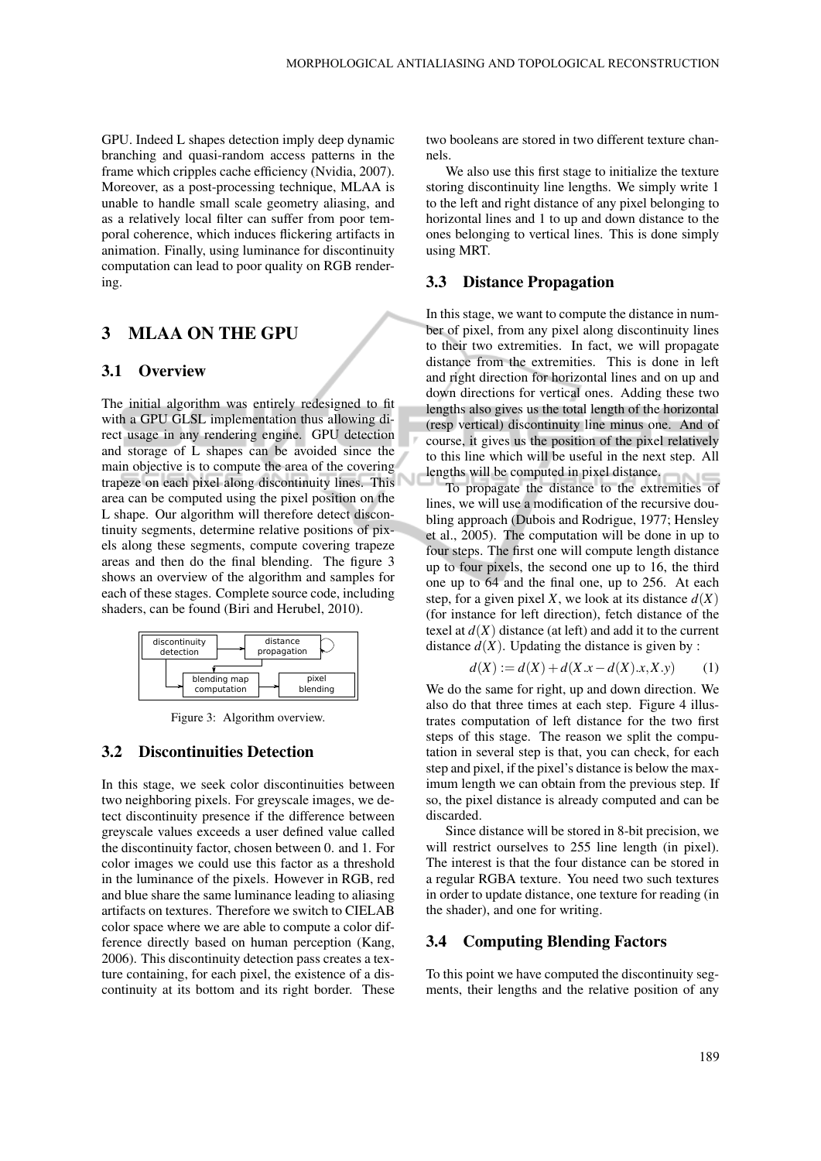GPU. Indeed L shapes detection imply deep dynamic branching and quasi-random access patterns in the frame which cripples cache efficiency (Nvidia, 2007). Moreover, as a post-processing technique, MLAA is unable to handle small scale geometry aliasing, and as a relatively local filter can suffer from poor temporal coherence, which induces flickering artifacts in animation. Finally, using luminance for discontinuity computation can lead to poor quality on RGB rendering.

## 3 MLAA ON THE GPU

#### 3.1 Overview

The initial algorithm was entirely redesigned to fit with a GPU GLSL implementation thus allowing direct usage in any rendering engine. GPU detection and storage of L shapes can be avoided since the main objective is to compute the area of the covering trapeze on each pixel along discontinuity lines. This area can be computed using the pixel position on the L shape. Our algorithm will therefore detect discontinuity segments, determine relative positions of pixels along these segments, compute covering trapeze areas and then do the final blending. The figure 3 shows an overview of the algorithm and samples for each of these stages. Complete source code, including shaders, can be found (Biri and Herubel, 2010).



Figure 3: Algorithm overview.

### 3.2 Discontinuities Detection

In this stage, we seek color discontinuities between two neighboring pixels. For greyscale images, we detect discontinuity presence if the difference between greyscale values exceeds a user defined value called the discontinuity factor, chosen between 0. and 1. For color images we could use this factor as a threshold in the luminance of the pixels. However in RGB, red and blue share the same luminance leading to aliasing artifacts on textures. Therefore we switch to CIELAB color space where we are able to compute a color difference directly based on human perception (Kang, 2006). This discontinuity detection pass creates a texture containing, for each pixel, the existence of a discontinuity at its bottom and its right border. These two booleans are stored in two different texture channels.

We also use this first stage to initialize the texture storing discontinuity line lengths. We simply write 1 to the left and right distance of any pixel belonging to horizontal lines and 1 to up and down distance to the ones belonging to vertical lines. This is done simply using MRT.

#### 3.3 Distance Propagation

In this stage, we want to compute the distance in number of pixel, from any pixel along discontinuity lines to their two extremities. In fact, we will propagate distance from the extremities. This is done in left and right direction for horizontal lines and on up and down directions for vertical ones. Adding these two lengths also gives us the total length of the horizontal (resp vertical) discontinuity line minus one. And of course, it gives us the position of the pixel relatively to this line which will be useful in the next step. All lengths will be computed in pixel distance.

To propagate the distance to the extremities of lines, we will use a modification of the recursive doubling approach (Dubois and Rodrigue, 1977; Hensley et al., 2005). The computation will be done in up to four steps. The first one will compute length distance up to four pixels, the second one up to 16, the third one up to 64 and the final one, up to 256. At each step, for a given pixel *X*, we look at its distance  $d(X)$ (for instance for left direction), fetch distance of the texel at  $d(X)$  distance (at left) and add it to the current distance  $d(X)$ . Updating the distance is given by :

$$
d(X) := d(X) + d(X \cdot x - d(X) \cdot x, X \cdot y) \tag{1}
$$

We do the same for right, up and down direction. We also do that three times at each step. Figure 4 illustrates computation of left distance for the two first steps of this stage. The reason we split the computation in several step is that, you can check, for each step and pixel, if the pixel's distance is below the maximum length we can obtain from the previous step. If so, the pixel distance is already computed and can be discarded.

Since distance will be stored in 8-bit precision, we will restrict ourselves to 255 line length (in pixel). The interest is that the four distance can be stored in a regular RGBA texture. You need two such textures in order to update distance, one texture for reading (in the shader), and one for writing.

### 3.4 Computing Blending Factors

To this point we have computed the discontinuity segments, their lengths and the relative position of any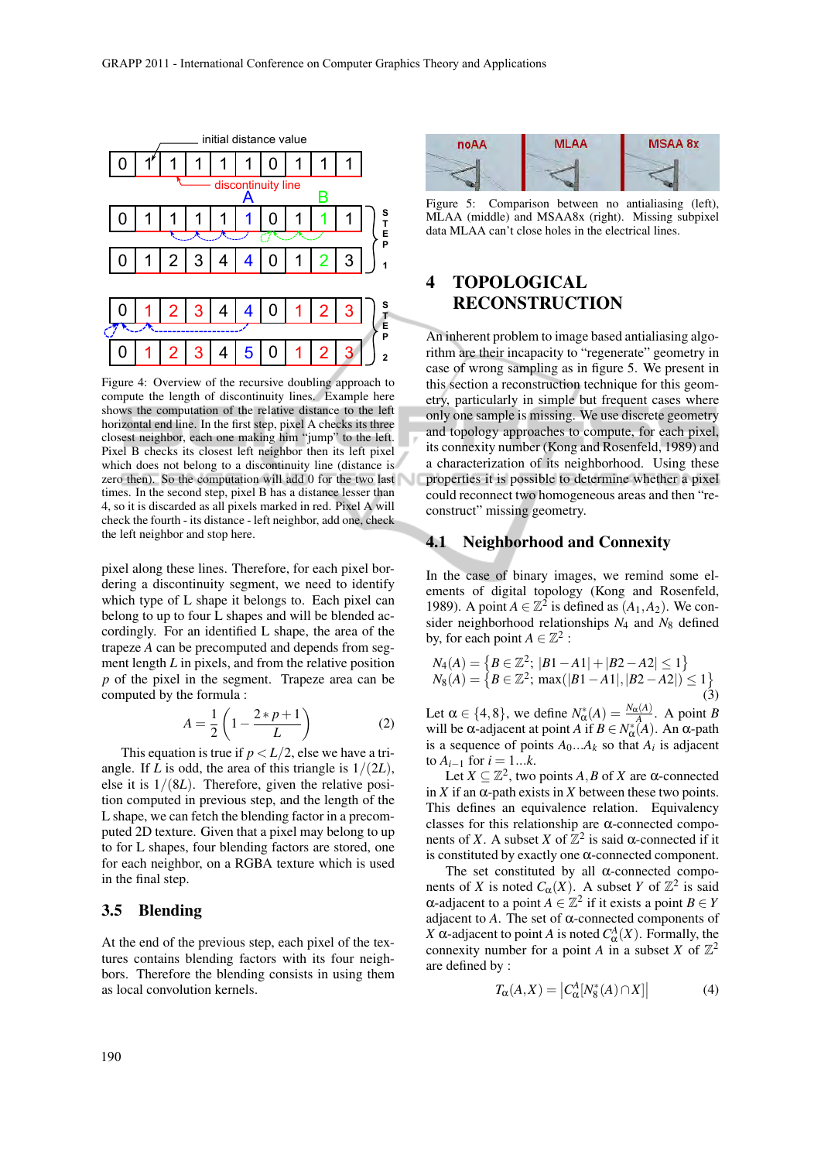

Figure 4: Overview of the recursive doubling approach to compute the length of discontinuity lines. Example here shows the computation of the relative distance to the left horizontal end line. In the first step, pixel A checks its three closest neighbor, each one making him "jump" to the left. Pixel B checks its closest left neighbor then its left pixel which does not belong to a discontinuity line (distance is zero then). So the computation will add 0 for the two last times. In the second step, pixel B has a distance lesser than 4, so it is discarded as all pixels marked in red. Pixel A will check the fourth - its distance - left neighbor, add one, check the left neighbor and stop here.

pixel along these lines. Therefore, for each pixel bordering a discontinuity segment, we need to identify which type of L shape it belongs to. Each pixel can belong to up to four L shapes and will be blended accordingly. For an identified L shape, the area of the trapeze *A* can be precomputed and depends from segment length *L* in pixels, and from the relative position *p* of the pixel in the segment. Trapeze area can be computed by the formula :

$$
A = \frac{1}{2} \left( 1 - \frac{2 \cdot p + 1}{L} \right) \tag{2}
$$

This equation is true if  $p < L/2$ , else we have a triangle. If *L* is odd, the area of this triangle is  $1/(2L)$ , else it is  $1/(8L)$ . Therefore, given the relative position computed in previous step, and the length of the L shape, we can fetch the blending factor in a precomputed 2D texture. Given that a pixel may belong to up to for L shapes, four blending factors are stored, one for each neighbor, on a RGBA texture which is used in the final step.

### 3.5 Blending

At the end of the previous step, each pixel of the textures contains blending factors with its four neighbors. Therefore the blending consists in using them as local convolution kernels.



Figure 5: Comparison between no antialiasing (left), MLAA (middle) and MSAA8x (right). Missing subpixel data MLAA can't close holes in the electrical lines.

# 4 TOPOLOGICAL RECONSTRUCTION

An inherent problem to image based antialiasing algorithm are their incapacity to "regenerate" geometry in case of wrong sampling as in figure 5. We present in this section a reconstruction technique for this geometry, particularly in simple but frequent cases where only one sample is missing. We use discrete geometry and topology approaches to compute, for each pixel, its connexity number (Kong and Rosenfeld, 1989) and a characterization of its neighborhood. Using these properties it is possible to determine whether a pixel could reconnect two homogeneous areas and then "reconstruct" missing geometry.

### 4.1 Neighborhood and Connexity

In the case of binary images, we remind some elements of digital topology (Kong and Rosenfeld, 1989). A point  $A \in \mathbb{Z}^2$  is defined as  $(A_1, A_2)$ . We consider neighborhood relationships *N*<sup>4</sup> and *N*<sup>8</sup> defined by, for each point  $A \in \mathbb{Z}^2$ :

$$
N_4(A) = \{ B \in \mathbb{Z}^2; |B1 - A1| + |B2 - A2| \le 1 \}
$$
  
\n
$$
N_8(A) = \{ B \in \mathbb{Z}^2; \max(|B1 - A1|, |B2 - A2|) \le 1 \}
$$
  
\n(3)

Let  $\alpha \in \{4, 8\}$ , we define  $N^*_{\alpha}(A) = \frac{N_{\alpha}(A)}{A}$ . A point *B* will be  $\alpha$ -adjacent at point *A* if  $B \in N^*_{\alpha}(A)$ . An  $\alpha$ -path is a sequence of points  $A_0...A_k$  so that  $A_i$  is adjacent to  $A_{i-1}$  for  $i = 1...k$ .

Let  $X \subseteq \mathbb{Z}^2$ , two points *A*, *B* of *X* are  $\alpha$ -connected in *X* if an  $\alpha$ -path exists in *X* between these two points. This defines an equivalence relation. Equivalency classes for this relationship are  $\alpha$ -connected components of *X*. A subset *X* of  $\mathbb{Z}^2$  is said  $\alpha$ -connected if it is constituted by exactly one α-connected component.

The set constituted by all  $\alpha$ -connected components of *X* is noted  $C_{\alpha}(X)$ . A subset *Y* of  $\mathbb{Z}^2$  is said  $α$ -adjacent to a point  $A \in \mathbb{Z}^2$  if it exists a point  $B \in Y$ adjacent to  $A$ . The set of  $\alpha$ -connected components of *X* α-adjacent to point *A* is noted  $C^A_\alpha(X)$ . Formally, the connexity number for a point *A* in a subset *X* of  $\mathbb{Z}^2$ are defined by :

$$
T_{\alpha}(A, X) = \left| C_{\alpha}^{A}[N_{8}^{*}(A) \cap X] \right| \tag{4}
$$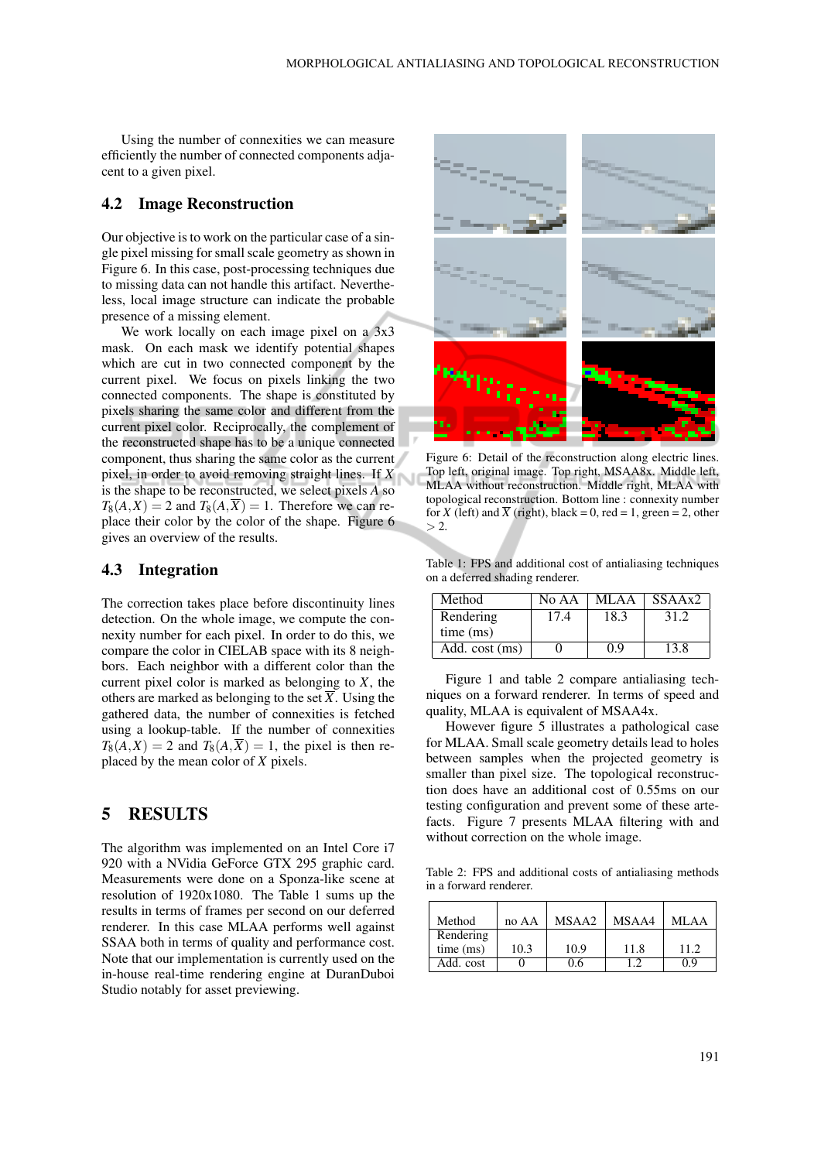Using the number of connexities we can measure efficiently the number of connected components adjacent to a given pixel.

#### 4.2 Image Reconstruction

Our objective is to work on the particular case of a single pixel missing for small scale geometry as shown in Figure 6. In this case, post-processing techniques due to missing data can not handle this artifact. Nevertheless, local image structure can indicate the probable presence of a missing element.

We work locally on each image pixel on a  $3x3$ mask. On each mask we identify potential shapes which are cut in two connected component by the current pixel. We focus on pixels linking the two connected components. The shape is constituted by pixels sharing the same color and different from the current pixel color. Reciprocally, the complement of the reconstructed shape has to be a unique connected component, thus sharing the same color as the current pixel, in order to avoid removing straight lines. If *X* is the shape to be reconstructed, we select pixels *A* so  $T_8(A,X) = 2$  and  $T_8(A,\overline{X}) = 1$ . Therefore we can replace their color by the color of the shape. Figure 6 gives an overview of the results.

#### 4.3 Integration

The correction takes place before discontinuity lines detection. On the whole image, we compute the connexity number for each pixel. In order to do this, we compare the color in CIELAB space with its 8 neighbors. Each neighbor with a different color than the current pixel color is marked as belonging to *X*, the others are marked as belonging to the set  $\overline{X}$ . Using the gathered data, the number of connexities is fetched using a lookup-table. If the number of connexities  $T_8(A,X) = 2$  and  $T_8(A,\overline{X}) = 1$ , the pixel is then replaced by the mean color of *X* pixels.

# 5 RESULTS

The algorithm was implemented on an Intel Core i7 920 with a NVidia GeForce GTX 295 graphic card. Measurements were done on a Sponza-like scene at resolution of 1920x1080. The Table 1 sums up the results in terms of frames per second on our deferred renderer. In this case MLAA performs well against SSAA both in terms of quality and performance cost. Note that our implementation is currently used on the in-house real-time rendering engine at DuranDuboi Studio notably for asset previewing.



Figure 6: Detail of the reconstruction along electric lines. Top left, original image. Top right, MSAA8x. Middle left, MLAA without reconstruction. Middle right, MLAA with topological reconstruction. Bottom line : connexity number for *X* (left) and  $\overline{X}$  (right), black = 0, red = 1, green = 2, other  $> 2$ .

Table 1: FPS and additional cost of antialiasing techniques on a deferred shading renderer.

| Method         | No AA | MLAA | SSAAx2 |
|----------------|-------|------|--------|
| Rendering      | 17.4  | 18.3 | 31.2   |
| time (ms)      |       |      |        |
| Add. cost (ms) |       | 0.9  | 13.8   |

Figure 1 and table 2 compare antialiasing techniques on a forward renderer. In terms of speed and quality, MLAA is equivalent of MSAA4x.

However figure 5 illustrates a pathological case for MLAA. Small scale geometry details lead to holes between samples when the projected geometry is smaller than pixel size. The topological reconstruction does have an additional cost of 0.55ms on our testing configuration and prevent some of these artefacts. Figure 7 presents MLAA filtering with and without correction on the whole image.

Table 2: FPS and additional costs of antialiasing methods in a forward renderer.

| Method    | no AA | MSAA2 | MSAA4 | MLAA  |
|-----------|-------|-------|-------|-------|
| Rendering |       |       |       |       |
| time (ms) | 10.3  | 10.9  | 11.8  | 11.2. |
| Add. cost |       | 0.6   | 12    | በ ዓ   |